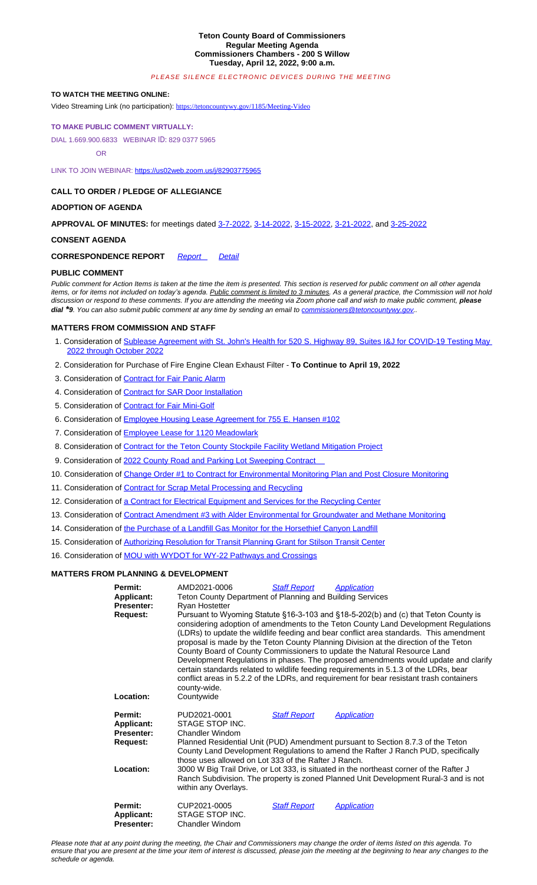#### **CALL TO ORDER / PLEDGE OF ALLEGIANCE**

## **ADOPTION OF AGENDA**

**APPROVAL OF MINUTES:** for meetings dated 3-7-2022, 3-14-2022, 3-15-2022, 3-21-2022, and 3-25-2022

# **CONSENT AGENDA**

**CORRESPONDENCE REPORT** *Report Detail*

## **PUBLIC COMMENT**

*Public comment for Action Items is taken at the time the item is presented. This section is reserved for public comment on all other agenda items, or for items not included on today's agenda. [Public comment is limited to 3 mi](https://tetoncountywy.gov/1185/Meeting-Video)nutes. As a general practice, the Commission will not hold discussion or respond to these comments. If you are attending the meeting via Zoom phone call and wish to make public comment, please dial \*9[. You can also submit public comment a](https://tetoncountywy.gov/1185/Meeting-Video)t any time by sending an email to commissioners@tetoncountywy.gov..*

# **[MATTERS FROM COMMISSION AND STAFF](https://tetoncountywy.gov/1185/Meeting-Video)**

- [1. Consideratio](https://tetoncountywy.gov/1185/Meeting-Video)n of Sublease Agreement with St. John's Health for 520 S. Highway 89, Suites I&J for COVID-19 Testing May 2022 through October 2022
- [2. Consideration for Pu](https://tetoncountywy.gov/1185/Meeting-Video)[rchase of Fire Engine Clean Exhaus](https://us02web.zoom.us/j/82903775965)t Filter **To Continue to April 19, 2022**
- 3. Consideration of Contract for Fair Panic Alarm
- 4. Consideration of Contract for SAR Door Installation
- 5. Consideration of Contract for Fair Mini-Golf
- 6. Consideration of Employee Housing Lease [Agreemen](https://tetoncountywy.gov/DocumentCenter/View/21803/03-07-22-V-Mins)t [for 755 E.](https://tetoncountywy.gov/DocumentCenter/View/21804/03-14-22-V-Mins) [Hansen #1](https://tetoncountywy.gov/DocumentCenter/View/21805/03-15-22-R-Mins)[02](https://tetoncountywy.gov/DocumentCenter/View/21806/03-21-22-V-Mins)
- 7. Consideration of Employee Lease for 1120 Meadowlark
- 8. Consideration of Contract for th[e Teton C](https://tetoncountywy.gov/DocumentCenter/View/21809/0412-CorrespondenceReport)ou[nty Sto](https://tetoncountywy.gov/DocumentCenter/View/21808/0412-CorrespondenceDetail)ckpile Facility Wetland Mitigation Project
- 9. Consideration of 2022 County Road and Parking Lot Sweeping Contract
- 10. Consideration of Change Order #1 to Contract for Environmental Monitoring Plan and Post Closure Monitoring
- 11. Consideration of Contract for Scrap Metal Processing and Recycling
- 12. Consideration of a Contract for Electrical Equipment and Services f[or the Recycling Center](mailto:commissioners@tetoncountywy.gov)
- 13. Consideration of Contract Amendment #3 with Alder Environmental for Groundwater and Methane Monitoring
- 14. Consideration of [the Purchase of a Landfill Gas Monitor for the Horsethief Canyon Landfill](https://tetoncountywy.gov/DocumentCenter/View/21810/04121-St-Johns-Health-Lease-520-S-Highway-89-for-COVID-19-Testing)
- 15. [Consideration of Authorizing](https://tetoncountywy.gov/DocumentCenter/View/21810/04121-St-Johns-Health-Lease-520-S-Highway-89-for-COVID-19-Testing) Resolution for Transit Planning Grant for Stilson Transit Center
- 16. Consideration of MOU with WYDOT for WY-22 Pathways and Crossings

### **[MATTERS FROM PLANNING &](https://tetoncountywy.gov/DocumentCenter/View/21820/04123-Fair-Panic-Button-Installation) [DEVELOPMENT](https://tetoncountywy.gov/DocumentCenter/View/21820/04123-Fair-Panic-Button-Installation)**

| Permit:<br>Applicant:<br><b>Presenter:</b>                    | AMD2021-0006<br><b>Staff Report</b><br>Application<br>Teton County Department of Planning and Building Services<br>Ryan Hostetter                                                                                                                                                                                                                                                                                                                                                                                                                                                                                                                                                                                                    |
|---------------------------------------------------------------|--------------------------------------------------------------------------------------------------------------------------------------------------------------------------------------------------------------------------------------------------------------------------------------------------------------------------------------------------------------------------------------------------------------------------------------------------------------------------------------------------------------------------------------------------------------------------------------------------------------------------------------------------------------------------------------------------------------------------------------|
| <b>Request:</b>                                               | Pursuant to Wyoming Statute §16-3-103 and §18-5-202(b) and (c) that Teton County is<br>considering adoption of amendments to the Teton County Land Development Regulations<br>(LDRs) to update the wildlife feeding and bear conflict area standards. This amendment<br>proposal is made by the Teton County Planning Division at the direction of the Teton<br>County Board of County Commissioners to update the Natural Resource Land<br>Development Regulations in phases. The proposed amendments would update and clarify<br>certain standards related to wildlife feeding requirements in 5.1.3 of the LDRs, bear<br>conflict areas in 5.2.2 of the LDRs, and requirement for bear resistant trash containers<br>county-wide. |
| Location:                                                     | Countywide                                                                                                                                                                                                                                                                                                                                                                                                                                                                                                                                                                                                                                                                                                                           |
| Permit:<br><b>Applicant:</b><br><b>Presenter:</b><br>Request: | PUD2021-0001<br><b>Staff Report</b><br><b>Application</b><br>STAGE STOP INC.<br>Chandler Windom<br>Planned Residential Unit (PUD) Amendment pursuant to Section 8.7.3 of the Teton<br>County Land Development Regulations to amend the Rafter J Ranch PUD, specifically<br>those uses allowed on Lot 333 of the Rafter J Ranch.                                                                                                                                                                                                                                                                                                                                                                                                      |
| Location:                                                     | 3000 W Big Trail Drive, or Lot 333, is situated in the northeast corner of the Rafter J<br>Ranch Subdivision. The property is zoned Planned Unit Development Rural-3 and is not<br>within any Overlays.                                                                                                                                                                                                                                                                                                                                                                                                                                                                                                                              |
| Permit:<br><b>Applicant:</b><br><b>Presenter:</b>             | CUP2021-0005<br><b>Staff Report</b><br><b>Application</b><br>STAGE STOP INC.<br>Chandler Windom                                                                                                                                                                                                                                                                                                                                                                                                                                                                                                                                                                                                                                      |

*Please note that at any point during the meeting, the Chair and Commissioners may change the order of items listed on this agenda. To ensure that you are present at the time your item of interest is discussed, please join the meeting at the beginning to hear any changes to the schedule or agenda.*